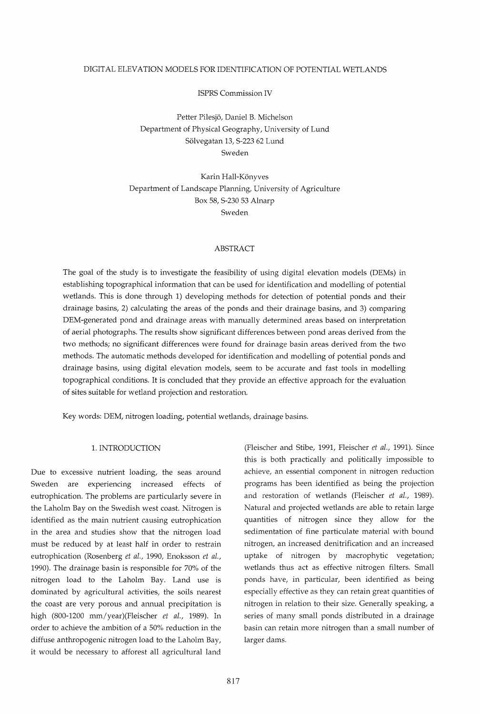# DIGITAL ELEVATION MODELS FOR IDENTIFICATION OF POTENTIAL WETLANDS

ISPRS Commission IV

Petter Pilesjo, Daniel B. Michelson Department of Physical Geography, University of Lund Sölvegatan 13, S-223 62 Lund Sweden

Karin Hall-Könyves Department of Landscape Planning, University of Agriculture Box 58, S-230 53 Alnarp Sweden

# ABSTRACT

The goal of the study is to investigate the feasibility of using digital elevation models (DEMs) in establishing topographical information that can be used for identification and modelling of potential wetlands. This is done through 1) developing methods for detection of potential ponds and their drainage basins, 2) calculating the areas of the ponds and their drainage basins, and 3) comparing DEM-generated pond and drainage areas with manually determined areas based on interpretation of aerial photographs. The results show significant differences between pond areas derived from the two methods; no significant differences were found for drainage basin areas derived from the two methods. The automatic methods developed for identification and modelling of potential ponds and drainage basins, using digital elevation models, seem to be accurate and fast tools in modelling topographical conditions. It is concluded that they provide an effective approach for the evaluation of sites suitable for wetland projection and restoration.

Key words: DEM, nitrogen loading, potential wetlands, drainage basins.

# 1. INTRODUCTION

Due to excessive nutrient loading, the seas around Sweden are experiencing increased effects of eutrophication. The problems are particularly severe in the Laholm Bay on the Swedish west coast. Nitrogen is identified as the main nutrient causing eutrophication in the area and studies show that the nitrogen load must be reduced by at least half in order to restrain eutrophication (Rosenberg *et al.,* 1990, Enoksson *et al.,*  1990). The drainage basin is responsible for 70% of the nitrogen load to the Laholm Bay. Land use is dominated by agricultural activities, the soils nearest the coast are very porous and annual precipitation is high (800-1200 mm/year)(Fleischer *et al.,* 1989). In order to achieve the ambition of a 50% reduction in the diffuse anthropogenic nitrogen load to the Laholm Bay, it would be necessary to afforest all agricultural land

(Fleischer and Stibe, 1991, Fleischer *et al.,* 1991). Since this is both practically and politically impossible to achieve, an essential component in nitrogen reduction programs has been identified as being the projection and restoration of wetlands (Fleischer *et al., 1989).*  Natural and projected wetlands are able to retain large quantities of nitrogen since they allow for the sedimentation of fine particulate material with bound nitrogen, an increased denitrification and an increased uptake of nitrogen by macrophytic vegetation; wetlands thus act as effective nitrogen filters. Small ponds have, in particular, been identified as being especially effective as they can retain great quantities of nitrogen in relation to their size. Generally speaking, a series of many small ponds distributed in a drainage basin can retain more nitrogen than a small number of larger dams.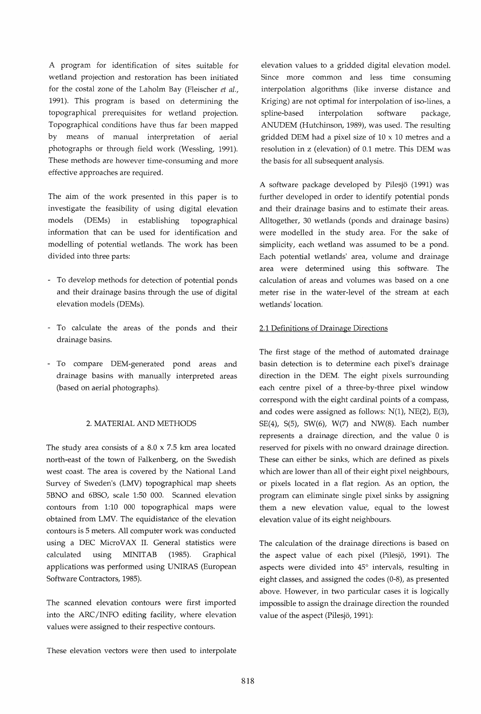A program for identification of sites suitable for wetland projection and restoration has been initiated for the costal zone of the Laholm Bay (Fleischer *et al.,*  1991). This program is based on determining the topographical prerequisites for wetland projection. Topographical conditions have thus far been mapped by means of manual interpretation of aerial photographs or through field work (Wessling, 1991). These methods are however time-consuming and more effective approaches are required.

The aim of the work presented in this paper is to investigate the feasibility of using digital elevation models (DEMs) in establishing topographical information that can be used for identification and modelling of potential wetlands. The work has been divided into three parts:

- To develop methods for detection of potential ponds and their drainage basins through the use of digital elevation models (DEMs).
- To calculate the areas of the ponds and their drainage basins.
- To compare DEM-generated pond areas and drainage basins with manually interpreted areas (based on aerial photographs).

# 2. MATERIAL AND METHODS

The study area consists of a 8.0 x 7.5 km area located north-east of the town of Falkenberg, on the Swedish west coast. The area is covered by the National Land Survey of Sweden's (LMV) topographical map sheets 5BNO and 6BSO, scale 1:50 000. Scanned elevation contours from 1:10 000 topographical maps were obtained from LMV. The equidistance of the elevation contours is 5 meters. All computer work was conducted using a DEC MicroVAX II. General statistics were calculated using MINITAB (1985). Graphical applications was performed using UNIRAS (European Software Contractors, 1985).

The scanned elevation contours were first imported into the ARC/INFO editing facility, where elevation values were assigned to their respective contours.

These elevation vectors were then used to interpolate

elevation values to a gridded digital elevation model. Since more common and less time consuming interpolation algorithms (like inverse distance and Kriging) are not optimal for interpolation of iso-lines, a spline-based interpolation software package, ANUDEM (Hutchinson, 1989), was used. The resulting gridded DEM had a pixel size of 10 x 10 metres and a resolution in z (elevation) of 0.1 metre. This DEM was the basis for all subsequent analysis.

A software package developed by Pilesjo (1991) was further developed in order to identify potential ponds and their drainage basins and to estimate their areas. Alltogether, 30 wetlands (ponds and drainage basins) were modelled in the study area. For the sake of simplicity, each wetland was assumed to be a pond. Each potential wetlands' area, volume and drainage area were determined using this software. The calculation of areas and volumes was based on a one meter rise in the water-level of the stream at each wetlands' location.

#### 2.1 Definitions of Drainage Directions

The first stage of the method of automated drainage basin detection is to determine each pixel's drainage direction in the DEM. The eight pixels surrounding each centre pixel of a three-by-three pixel window correspond with the eight cardinal points of a compass, and codes were assigned as follows:  $N(1)$ ,  $NE(2)$ ,  $E(3)$ , SE(4), S(5), SW(6), W(7) and NW(8). Each number represents a drainage direction, and the value 0 is reserved for pixels with no onward drainage direction. These can either be sinks, which are defined as pixels which are lower than all of their eight pixel neighbours, or pixels located in a flat region. As an option, the program can eliminate single pixel sinks by assigning them a new elevation value, equal to the lowest elevation value of its eight neighbours.

The calculation of the drainage directions is based on the aspect value of each pixel (Pilesjö, 1991). The aspects were divided into 45° intervals, resulting in eight classes, and assigned the codes (0-8), as presented above. However, in two particular cases it is logically impossible to assign the drainage direction the rounded value of the aspect (Pilesjö, 1991):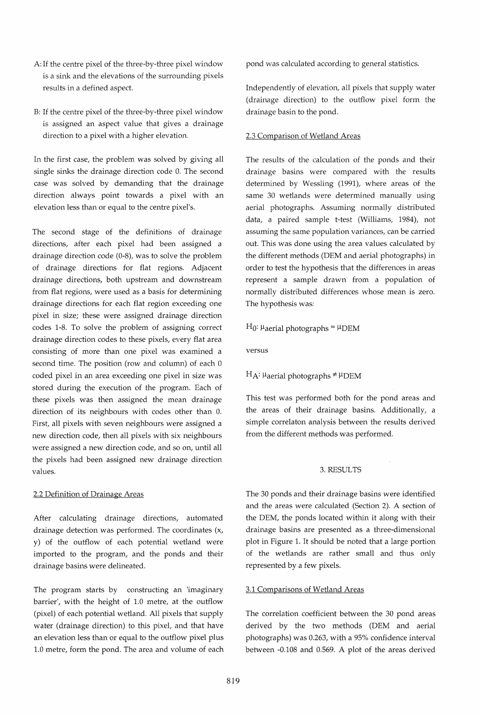- A: If the centre pixel of the three-by-three pixel window is a sink and the elevations of the surrounding pixels results in a defined aspect.
- B: If the centre pixel of the three-by-three pixel window is assigned an aspect value that gives a drainage direction to a pixel with a higher elevation.

In the first case, the problem was solved by giving all single sinks the drainage direction code O. The second case was solved by demanding that the drainage direction always point towards a pixel with an elevation less than or equal to the centre pixel's.

The second stage of the definitions of drainage directions, after each pixel had been assigned a drainage direction code (0-8), was to solve the problem of drainage directions for flat regions. Adjacent drainage directions, both upstream and downstream from flat regions, were used as a basis for determining drainage directions for each flat region exceeding one pixel in size; these were assigned drainage direction codes 1-8. To solve the problem of assigning correct drainage direction codes to these pixels, every flat area consisting of more than one pixel was examined a second time. The position (row and column) of each 0 coded pixel in an area exceeding one pixel in size was stored during the execution of the program. Each of these pixels was then assigned the mean drainage direction of its neighbours with codes other than O. First, all pixels with seven neighbours were assigned a new direction code, then all pixels with six neighbours were assigned a new direction code, and so on, until all the pixels had been assigned new drainage direction values.

#### 2.2 Definition of Drainage Areas

After calculating drainage directions, automated drainage detection was performed. The coordinates (x, y) of the outflow of each potential wetland were imported to the program, and the ponds and their drainage basins were delineated.

The program starts by constructing an 'imaginary barrier', with the height of 1.0 metre, at the outflow (pixel) of each potential wetland. All pixels that supply water (drainage direction) to this pixel, and that have an elevation less than or equal to the outflow pixel plus 1.0 metre, form the pond. The area and volume of each pond was calculated according to general statistics.

Independently of elevation, all pixels that supply water (drainage direction) to the outflow pixel form the drainage basin to the pond.

### 2.3 Comparison of Wetland Areas

The results of the calculation of the ponds and their drainage basins were compared with the results determined by Wessling (1991), where areas of the same 30 wetlands were determined manually using aerial photographs. Assuming normally distributed data, a paired sample t-test (Williams, 1984), not assuming the same population variances, can be carried out. This was done using the area values calculated by the different methods (DEM and aerial photographs) in order to test the hypothesis that the differences in areas represent a sample drawn from a population of normally distributed differences whose mean is zero. The hypothesis was:

# $H_0$ :  $\mu$ aerial photographs =  $\mu$ DEM

versus

#### $H_A:$  µ aerial photographs  $\neq \mu$ DEM

This test was performed both for the pond areas and the areas of their drainage basins. Additionally, a simple correlaton analysis between the results derived from the different methods was performed.

# 3. RESULTS

The 30 ponds and their drainage basins were identified and the areas were calculated (Section 2). A section of the DEM, the ponds located within it along with their drainage basins are presented as a three-dimensional plot in Figure 1. It should be noted that a large portion of the wetlands are rather small and thus only represented by a few pixels.

#### 3.1 Comparisons of Wetland Areas

The correlation coefficient between the 30 pond areas derived by the two methods (DEM and aerial photographs) was 0.263, with a 95% confidence interval between -0.108 and 0.569. A plot of the areas derived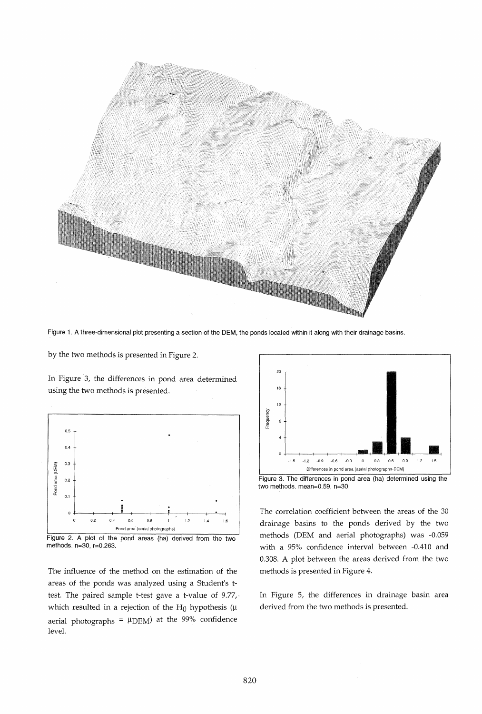

Figure 1. A three-dimensional plot presenting a section of the DEM, the ponds located within it along with their drainage basins.

by the two methods is presented in Figure 2.

In Figure 3, the differences in pond area determined using the two methods is presented.



Figure 2. A plot of the pond areas (ha) derived from the two methods. n=30, r=O.263.

The influence of the method on the estimation of the areas of the ponds was analyzed using a Student's ttest. The paired sample t-test gave a t-value of 9.77,· which resulted in a rejection of the H<sub>0</sub> hypothesis ( $\mu$ aerial photographs =  $\mu$ DEM) at the 99% confidence level.



Figure 3. The differences in pond area (ha) determined using the two methods. mean=O.59, n=30.

The correlation coefficient between the areas of the 30 drainage basins to the ponds derived by the two methods (DEM and aerial photographs) was -0.059 with a 95% confidence interval between -0.410 and 0.308. A plot between the areas derived from the two methods is presented in Figure 4.

In Figure 5, the differences in drainage basin area derived from the two methods is presented.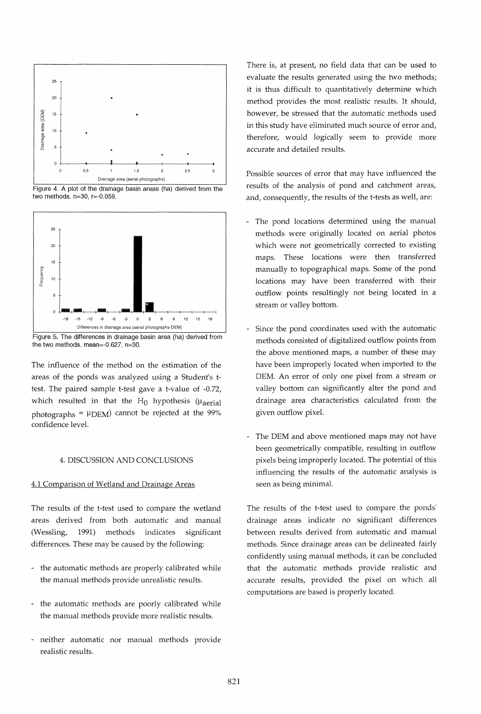

Figure 4. A plot of the drainage basin areas (ha) derived from the two methods. n=30, r=-O.059.



Figure 5. The differences **in** drainage basin area (ha) derived from the two methods. mean=-O.627, n=30.

The influence of the method on the estimation of the areas of the ponds was analyzed using a Student's ttest. The paired sample t-test gave a t-value of -0.72, which resulted in that the  $H_0$  hypothesis ( $\mu_{\text{aerial}}$ ) photographs =  $\mu$ DEM) cannot be rejected at the 99% confidence level.

## 4. DISCUSSION AND CONCLUSIONS

#### 4.1 Comparison of Wetland and Drainage Areas

The results of the t-test used to compare the wetland areas derived from both automatic and manual (Wessling, 1991) methods indicates significant differences. These may be caused by the following:

- the automatic methods are properly calibrated while the manual methods provide unrealistic results.
- the automatic methods are poorly calibrated while the manual methods provide more realistic results.
- neither automatic nor manual methods provide realistic results.

There is, at present, no field data that can be used to evaluate the results generated using the two methods; it is thus difficult to quantitatively determine which method provides the most realistic results. It should, however, be stressed that the automatic methods used in this study have eliminated much source of error and, therefore, would logically seem to provide more accurate and detailed results.

Possible sources of error that may have influenced the results of the analysis of pond and catchment areas, and, consequently, the results of the t-tests as well, are:

- The pond locations determined using the manual methods were originally located on aerial photos which were not geometrically corrected to existing maps. These locations were then transferred manually to topographical maps. Some of the pond locations may have been transferred with their outflow points resultingly not being located in a stream or valley bottom.
- Since the pond coordinates used with the automatic methods consisted of digitalized outflow points from the above mentioned maps, a number of these may have been improperly located when imported to the DEM. An error of only one pixel from a stream or valley bottom can significantly alter the pond and drainage area characteristics calculated from the given outflow pixel.
- The DEM and above mentioned maps may not have been geometrically compatible, resulting in outflow pixels being improperly located. The potential of this influencing the results of the automatic analysis is seen as being minimal.

The results of the t-test used to compare the ponds' drainage areas indicate no significant differences between results derived from automatic and manual methods. Since drainage areas can be delineated fairly confidently using manual methods, it can be concluded that the automatic methods provide realistic and accurate results, provided the pixel on which all computations are based is properly located.